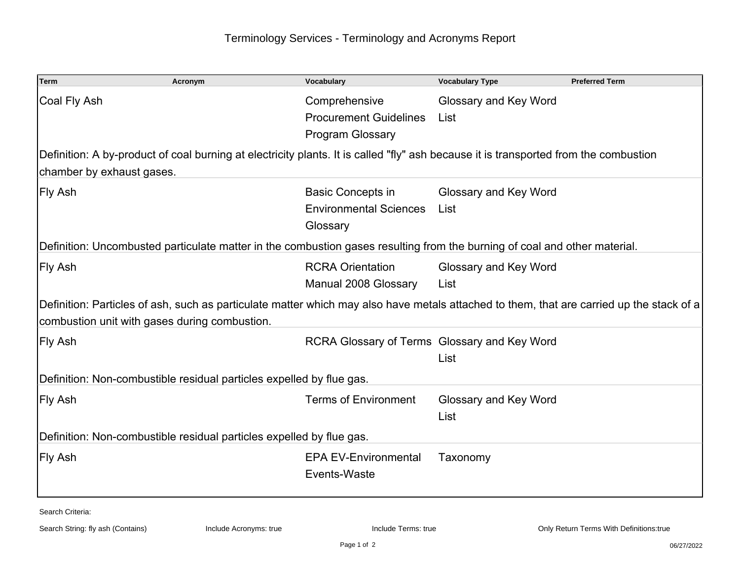| <b>Term</b>                                                                                                                                                                               | Acronym | Vocabulary                                                                | <b>Vocabulary Type</b>        | <b>Preferred Term</b> |  |  |  |
|-------------------------------------------------------------------------------------------------------------------------------------------------------------------------------------------|---------|---------------------------------------------------------------------------|-------------------------------|-----------------------|--|--|--|
| Coal Fly Ash                                                                                                                                                                              |         | Comprehensive<br><b>Procurement Guidelines</b><br><b>Program Glossary</b> | Glossary and Key Word<br>List |                       |  |  |  |
| Definition: A by-product of coal burning at electricity plants. It is called "fly" ash because it is transported from the combustion                                                      |         |                                                                           |                               |                       |  |  |  |
| chamber by exhaust gases.                                                                                                                                                                 |         |                                                                           |                               |                       |  |  |  |
| Fly Ash                                                                                                                                                                                   |         | <b>Basic Concepts in</b><br><b>Environmental Sciences</b><br>Glossary     | Glossary and Key Word<br>List |                       |  |  |  |
| Definition: Uncombusted particulate matter in the combustion gases resulting from the burning of coal and other material.                                                                 |         |                                                                           |                               |                       |  |  |  |
| Fly Ash                                                                                                                                                                                   |         | <b>RCRA Orientation</b><br>Manual 2008 Glossary                           | Glossary and Key Word<br>List |                       |  |  |  |
| Definition: Particles of ash, such as particulate matter which may also have metals attached to them, that are carried up the stack of a<br>combustion unit with gases during combustion. |         |                                                                           |                               |                       |  |  |  |
| Fly Ash                                                                                                                                                                                   |         | RCRA Glossary of Terms Glossary and Key Word                              | List                          |                       |  |  |  |
| Definition: Non-combustible residual particles expelled by flue gas.                                                                                                                      |         |                                                                           |                               |                       |  |  |  |
| Fly Ash                                                                                                                                                                                   |         | <b>Terms of Environment</b>                                               | Glossary and Key Word<br>List |                       |  |  |  |
| Definition: Non-combustible residual particles expelled by flue gas.                                                                                                                      |         |                                                                           |                               |                       |  |  |  |
| Fly Ash                                                                                                                                                                                   |         | <b>EPA EV-Environmental</b><br>Events-Waste                               | Taxonomy                      |                       |  |  |  |

Search Criteria: